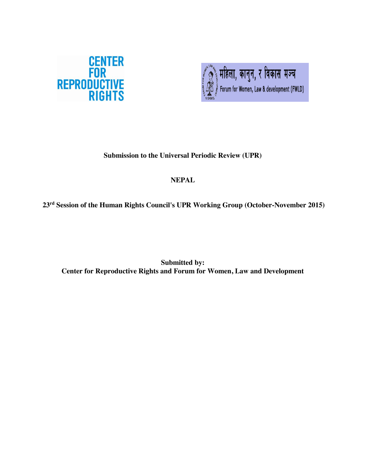



**Submission to the Universal Periodic Review (UPR)**

# **NEPAL**

**23rd Session of the Human Rights Council's UPR Working Group (October-November 2015)**

**Submitted by: Center for Reproductive Rights and Forum for Women, Law and Development**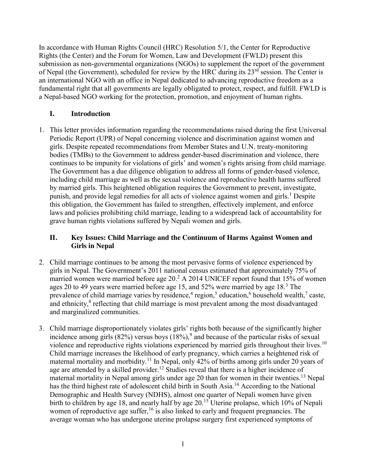In accordance with Human Rights Council (HRC) Resolution 5/1, the Center for Reproductive Rights (the Center) and the Forum for Women, Law and Development (FWLD) present this submission as non-governmental organizations (NGOs) to supplement the report of the government of Nepal (the Government), scheduled for review by the HRC during its  $23<sup>rd</sup>$  session. The Center is an international NGO with an office in Nepal dedicated to advancing reproductive freedom as a fundamental right that all governments are legally obligated to protect, respect, and fulfill. FWLD is a Nepal-based NGO working for the protection, promotion, and enjoyment of human rights.

## **I. Introduction**

1. This letter provides information regarding the recommendations raised during the first Universal Periodic Report (UPR) of Nepal concerning violence and discrimination against women and girls. Despite repeated recommendations from Member States and U.N. treaty-monitoring bodies (TMBs) to the Government to address gender-based discrimination and violence, there continues to be impunity for violations of girls' and women's rights arising from child marriage. The Government has a due diligence obligation to address all forms of gender-based violence, including child marriage as well as the sexual violence and reproductive health harms suffered by married girls. This heightened obligation requires the Government to prevent, investigate, punish, and provide legal remedies for all acts of violence against women and girls.<sup>1</sup> Despite this obligation, the Government has failed to strengthen, effectively implement, and enforce laws and policies prohibiting child marriage, leading to a widespread lack of accountability for grave human rights violations suffered by Nepali women and girls.

### **II. Key Issues: Child Marriage and the Continuum of Harms Against Women and Girls in Nepal**

- 2. Child marriage continues to be among the most pervasive forms of violence experienced by girls in Nepal. The Government's 2011 national census estimated that approximately 75% of married women were married before age  $20<sup>2</sup>$  A 2014 UNICEF report found that 15% of women ages 20 to 49 years were married before age 15, and  $52\%$  were married by age 18. $3$  The prevalence of child marriage varies by residence,  $4$  region,  $5$  education,  $6$  household wealth,  $7$  caste, and ethnicity,<sup>8</sup> reflecting that child marriage is most prevalent among the most disadvantaged and marginalized communities.
- 3. Child marriage disproportionately violates girls' rights both because of the significantly higher incidence among girls  $(82\%)$  versus boys  $(18\%)$ , and because of the particular risks of sexual violence and reproductive rights violations experienced by married girls throughout their lives.<sup>10</sup> Child marriage increases the likelihood of early pregnancy, which carries a heightened risk of maternal mortality and morbidity.<sup>11</sup> In Nepal, only 42% of births among girls under 20 years of age are attended by a skilled provider.<sup>12</sup> Studies reveal that there is a higher incidence of maternal mortality in Nepal among girls under age 20 than for women in their twenties.<sup>13</sup> Nepal has the third highest rate of adolescent child birth in South Asia.<sup>14</sup> According to the National Demographic and Health Survey (NDHS), almost one quarter of Nepali women have given birth to children by age 18, and nearly half by age 20.<sup>15</sup> Uterine prolapse, which 10% of Nepali women of reproductive age suffer,<sup>16</sup> is also linked to early and frequent pregnancies. The average woman who has undergone uterine prolapse surgery first experienced symptoms of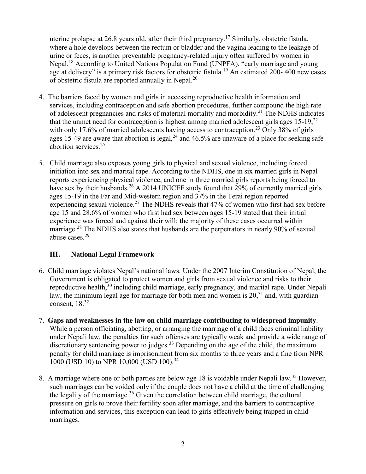uterine prolapse at 26.8 years old, after their third pregnancy.<sup>17</sup> Similarly, obstetric fistula, where a hole develops between the rectum or bladder and the vagina leading to the leakage of urine or feces, is another preventable pregnancy-related injury often suffered by women in Nepal.<sup>18</sup> According to United Nations Population Fund (UNPFA), "early marriage and young age at delivery" is a primary risk factors for obstetric fistula.<sup>19</sup> An estimated 200-400 new cases of obstetric fistula are reported annually in Nepal.20

- 4. The barriers faced by women and girls in accessing reproductive health information and services, including contraception and safe abortion procedures, further compound the high rate of adolescent pregnancies and risks of maternal mortality and morbidity.<sup>21</sup> The NDHS indicates that the unmet need for contraception is highest among married adolescent girls ages  $15{\text -}19$ ,  $22$ with only 17.6% of married adolescents having access to contraception.<sup>23</sup> Only 38% of girls ages 15-49 are aware that abortion is legal,  $^{24}$  and 46.5% are unaware of a place for seeking safe abortion services.<sup>25</sup>
- 5. Child marriage also exposes young girls to physical and sexual violence, including forced initiation into sex and marital rape. According to the NDHS, one in six married girls in Nepal reports experiencing physical violence, and one in three married girls reports being forced to have sex by their husbands.<sup>26</sup> A 2014 UNICEF study found that 29% of currently married girls ages 15-19 in the Far and Mid-western region and 37% in the Terai region reported experiencing sexual violence.<sup>27</sup> The NDHS reveals that  $47\%$  of women who first had sex before age 15 and 28.6% of women who first had sex between ages 15-19 stated that their initial experience was forced and against their will; the majority of these cases occurred within marriage.<sup>28</sup> The NDHS also states that husbands are the perpetrators in nearly 90% of sexual abuse cases.<sup>29</sup>

#### **III. National Legal Framework**

- 6. Child marriage violates Nepal's national laws. Under the 2007 Interim Constitution of Nepal, the Government is obligated to protect women and girls from sexual violence and risks to their reproductive health,<sup>30</sup> including child marriage, early pregnancy, and marital rape. Under Nepali law, the minimum legal age for marriage for both men and women is  $20<sup>31</sup>$  and, with guardian consent,  $18^{32}$
- 7. **Gaps and weaknesses in the law on child marriage contributing to widespread impunity**. While a person officiating, abetting, or arranging the marriage of a child faces criminal liability under Nepali law, the penalties for such offenses are typically weak and provide a wide range of discretionary sentencing power to judges.<sup>33</sup> Depending on the age of the child, the maximum penalty for child marriage is imprisonment from six months to three years and a fine from NPR 1000 (USD 10) to NPR 10,000 (USD 100). 34
- 8. A marriage where one or both parties are below age 18 is voidable under Nepali law.<sup>35</sup> However, such marriages can be voided only if the couple does not have a child at the time of challenging the legality of the marriage.<sup>36</sup> Given the correlation between child marriage, the cultural pressure on girls to prove their fertility soon after marriage, and the barriers to contraceptive information and services, this exception can lead to girls effectively being trapped in child marriages.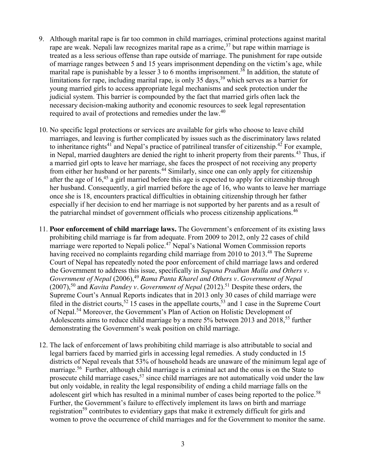- 9. Although marital rape is far too common in child marriages, criminal protections against marital rape are weak. Nepali law recognizes marital rape as a crime,<sup>37</sup> but rape within marriage is treated as a less serious offense than rape outside of marriage. The punishment for rape outside of marriage ranges between 5 and 15 years imprisonment depending on the victim's age, while marital rape is punishable by a lesser 3 to 6 months imprisonment.<sup>38</sup> In addition, the statute of limitations for rape, including marital rape, is only 35 days,  $39$  which serves as a barrier for young married girls to access appropriate legal mechanisms and seek protection under the judicial system. This barrier is compounded by the fact that married girls often lack the necessary decision-making authority and economic resources to seek legal representation required to avail of protections and remedies under the law.<sup>40</sup>
- 10. No specific legal protections or services are available for girls who choose to leave child marriages, and leaving is further complicated by issues such as the discriminatory laws related to inheritance rights<sup>41</sup> and Nepal's practice of patrilineal transfer of citizenship.<sup>42</sup> For example, in Nepal, married daughters are denied the right to inherit property from their parents.<sup>43</sup> Thus, if a married girl opts to leave her marriage, she faces the prospect of not receiving any property from either her husband or her parents.<sup>44</sup> Similarly, since one can only apply for citizenship after the age of  $16<sup>45</sup>$  a girl married before this age is expected to apply for citizenship through her husband. Consequently, a girl married before the age of 16, who wants to leave her marriage once she is 18, encounters practical difficulties in obtaining citizenship through her father especially if her decision to end her marriage is not supported by her parents and as a result of the patriarchal mindset of government officials who process citizenship applications.<sup>46</sup>
- 11. **Poor enforcement of child marriage laws.** The Government's enforcement of its existing laws prohibiting child marriage is far from adequate. From 2009 to 2012, only 22 cases of child marriage were reported to Nepali police.<sup>47</sup> Nepal's National Women Commission reports having received no complaints regarding child marriage from 2010 to 2013.<sup>48</sup> The Supreme Court of Nepal has repeatedly noted the poor enforcement of child marriage laws and ordered the Government to address this issue, specifically in *Sapana Pradhan Malla and Others v. Government of Nepal* (2006), <sup>49</sup> *Rama Panta Kharel and Others v. Government of Nepal*  (2007),<sup>50</sup> and *Kavita Pandey v. Government of Nepal* (2012).<sup>51</sup> Despite these orders, the Supreme Court's Annual Reports indicates that in 2013 only 30 cases of child marriage were filed in the district courts,<sup>52</sup> 15 cases in the appellate courts,<sup>53</sup> and 1 case in the Supreme Court of Nepal.<sup>54</sup> Moreover, the Government's Plan of Action on Holistic Development of Adolescents aims to reduce child marriage by a mere 5% between 2013 and 2018,<sup>55</sup> further demonstrating the Government's weak position on child marriage.
- 12. The lack of enforcement of laws prohibiting child marriage is also attributable to social and legal barriers faced by married girls in accessing legal remedies. A study conducted in 15 districts of Nepal reveals that 53% of household heads are unaware of the minimum legal age of marriage.<sup>56</sup> Further, although child marriage is a criminal act and the onus is on the State to prosecute child marriage cases,<sup>57</sup> since child marriages are not automatically void under the law but only voidable, in reality the legal responsibility of ending a child marriage falls on the adolescent girl which has resulted in a minimal number of cases being reported to the police.<sup>58</sup> Further, the Government's failure to effectively implement its laws on birth and marriage registration<sup>59</sup> contributes to evidentiary gaps that make it extremely difficult for girls and women to prove the occurrence of child marriages and for the Government to monitor the same.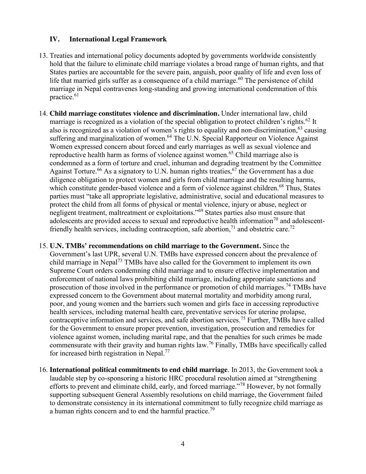#### **IV. International Legal Framework**

- 13. Treaties and international policy documents adopted by governments worldwide consistently hold that the failure to eliminate child marriage violates a broad range of human rights, and that States parties are accountable for the severe pain, anguish, poor quality of life and even loss of life that married girls suffer as a consequence of a child marriage.<sup>60</sup> The persistence of child marriage in Nepal contravenes long-standing and growing international condemnation of this practice.<sup>61</sup>
- 14. **Child marriage constitutes violence and discrimination.** Under international law, child marriage is recognized as a violation of the special obligation to protect children's rights.<sup>62</sup> It also is recognized as a violation of women's rights to equality and non-discrimination,<sup>63</sup> causing suffering and marginalization of women.<sup>64</sup> The U.N. Special Rapporteur on Violence Against Women expressed concern about forced and early marriages as well as sexual violence and reproductive health harm as forms of violence against women.<sup>65</sup> Child marriage also is condemned as a form of torture and cruel, inhuman and degrading treatment by the Committee Against Torture.<sup>66</sup> As a signatory to U.N. human rights treaties,  $\frac{67}{3}$  the Government has a due diligence obligation to protect women and girls from child marriage and the resulting harms, which constitute gender-based violence and a form of violence against children.<sup>68</sup> Thus, States parties must "take all appropriate legislative, administrative, social and educational measures to protect the child from all forms of physical or mental violence, injury or abuse, neglect or negligent treatment, maltreatment or exploitations."<sup>69</sup> States parties also must ensure that adolescents are provided access to sexual and reproductive health information<sup>70</sup> and adolescentfriendly health services, including contraception, safe abortion,<sup>71</sup> and obstetric care.<sup>72</sup>
- 15. **U.N. TMBs' recommendations on child marriage to the Government.** Since the Government's last UPR, several U.N. TMBs have expressed concern about the prevalence of child marriage in Nepal<sup>73</sup> TMBs have also called for the Government to implement its own Supreme Court orders condemning child marriage and to ensure effective implementation and enforcement of national laws prohibiting child marriage, including appropriate sanctions and prosecution of those involved in the performance or promotion of child marriages.<sup>74</sup> TMBs have expressed concern to the Government about maternal mortality and morbidity among rural, poor, and young women and the barriers such women and girls face in accessing reproductive health services, including maternal health care, preventative services for uterine prolapse, contraceptive information and services, and safe abortion services.<sup>75</sup> Further, TMBs have called for the Government to ensure proper prevention, investigation, prosecution and remedies for violence against women, including marital rape, and that the penalties for such crimes be made commensurate with their gravity and human rights law.<sup>76</sup> Finally, TMBs have specifically called for increased birth registration in Nepal.<sup>77</sup>
- 16. **International political commitments to end child marriage**. In 2013, the Government took a laudable step by co-sponsoring a historic HRC procedural resolution aimed at "strengthening efforts to prevent and eliminate child, early, and forced marriage."<sup>78</sup> However, by not formally supporting subsequent General Assembly resolutions on child marriage, the Government failed to demonstrate consistency in its international commitment to fully recognize child marriage as a human rights concern and to end the harmful practice.<sup>79</sup>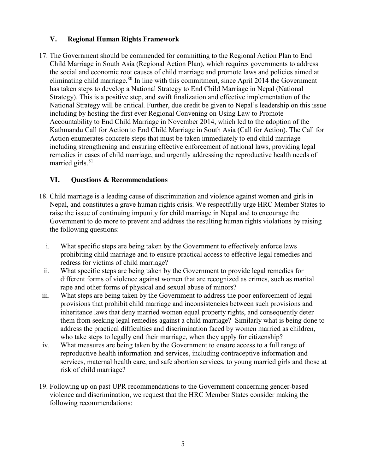#### **V. Regional Human Rights Framework**

17. The Government should be commended for committing to the Regional Action Plan to End Child Marriage in South Asia (Regional Action Plan), which requires governments to address the social and economic root causes of child marriage and promote laws and policies aimed at eliminating child marriage.<sup>80</sup> In line with this commitment, since April 2014 the Government has taken steps to develop a National Strategy to End Child Marriage in Nepal (National Strategy). This is a positive step, and swift finalization and effective implementation of the National Strategy will be critical. Further, due credit be given to Nepal's leadership on this issue including by hosting the first ever Regional Convening on Using Law to Promote Accountability to End Child Marriage in November 2014, which led to the adoption of the Kathmandu Call for Action to End Child Marriage in South Asia (Call for Action). The Call for Action enumerates concrete steps that must be taken immediately to end child marriage including strengthening and ensuring effective enforcement of national laws, providing legal remedies in cases of child marriage, and urgently addressing the reproductive health needs of married girls. $81$ 

### **VI. Questions & Recommendations**

- 18. Child marriage is a leading cause of discrimination and violence against women and girls in Nepal, and constitutes a grave human rights crisis. We respectfully urge HRC Member States to raise the issue of continuing impunity for child marriage in Nepal and to encourage the Government to do more to prevent and address the resulting human rights violations by raising the following questions:
	- i. What specific steps are being taken by the Government to effectively enforce laws prohibiting child marriage and to ensure practical access to effective legal remedies and redress for victims of child marriage?
	- ii. What specific steps are being taken by the Government to provide legal remedies for different forms of violence against women that are recognized as crimes, such as marital rape and other forms of physical and sexual abuse of minors?
- iii. What steps are being taken by the Government to address the poor enforcement of legal provisions that prohibit child marriage and inconsistencies between such provisions and inheritance laws that deny married women equal property rights, and consequently deter them from seeking legal remedies against a child marriage? Similarly what is being done to address the practical difficulties and discrimination faced by women married as children, who take steps to legally end their marriage, when they apply for citizenship?
- iv. What measures are being taken by the Government to ensure access to a full range of reproductive health information and services, including contraceptive information and services, maternal health care, and safe abortion services, to young married girls and those at risk of child marriage?
- 19. Following up on past UPR recommendations to the Government concerning gender-based violence and discrimination, we request that the HRC Member States consider making the following recommendations: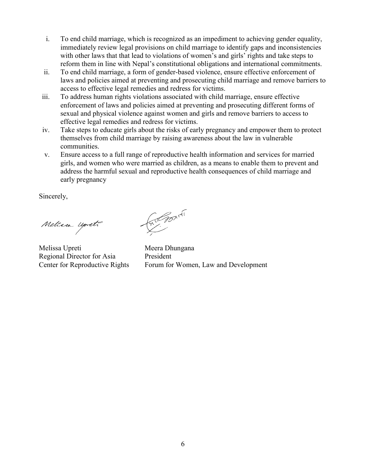- i. To end child marriage, which is recognized as an impediment to achieving gender equality, immediately review legal provisions on child marriage to identify gaps and inconsistencies with other laws that that lead to violations of women's and girls' rights and take steps to reform them in line with Nepal's constitutional obligations and international commitments.
- ii. To end child marriage, a form of gender-based violence, ensure effective enforcement of laws and policies aimed at preventing and prosecuting child marriage and remove barriers to access to effective legal remedies and redress for victims.
- iii. To address human rights violations associated with child marriage, ensure effective enforcement of laws and policies aimed at preventing and prosecuting different forms of sexual and physical violence against women and girls and remove barriers to access to effective legal remedies and redress for victims.
- iv. Take steps to educate girls about the risks of early pregnancy and empower them to protect themselves from child marriage by raising awareness about the law in vulnerable communities.
- v. Ensure access to a full range of reproductive health information and services for married girls, and women who were married as children, as a means to enable them to prevent and address the harmful sexual and reproductive health consequences of child marriage and early pregnancy

Sincerely,

Melisse yoretic

Melissa Upreti Meera Dhungana Regional Director for Asia President

AUGORITI

Center for Reproductive Rights Forum for Women, Law and Development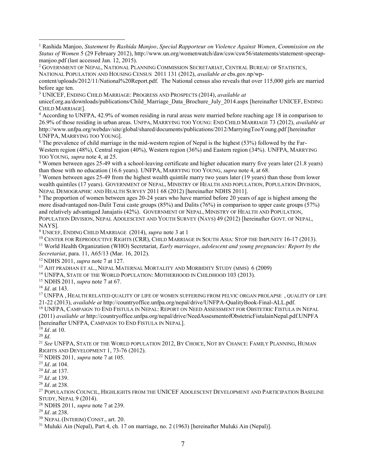content/uploads/2012/11/National%20Report.pdf. The National census also reveals that over 115,000 girls are married before age ten.

<sup>3</sup> UNICEF, ENDING CHILD MARRIAGE: PROGRESS AND PROSPECTS (2014), *available at* 

unicef.org.au/downloads/publications/Child\_Marriage\_Data\_Brochure\_July\_2014.aspx [hereinafter UNICEF, ENDING CHILD MARRIAGE].<br><sup>4</sup> According to UNFPA, 42.9% of women residing in rural areas were married before reaching age 18 in comparison to

26.9% of those residing in urban areas. UNFPA, MARRYING TOO YOUNG: END CHILD MARRIAGE 73 (2012), *available at*  http://www.unfpa.org/webdav/site/global/shared/documents/publications/2012/MarryingTooYoung.pdf [hereinafter UNFPA, MARRYING TOO YOUNG].<br><sup>5</sup> The prevalence of child marriage in the mid-western region of Nepal is the highest (53%) followed by the Far-

Western region (48%), Central region (40%), Western region (36%) and Eastern region (34%). UNFPA, MARRYING TOO YOUNG, *supra* note 4, at 25.

<sup>6</sup> Women between ages 25-49 with a school-leaving certificate and higher education marry five years later (21.8 years) than those with no education (16.6 years). UNFPA, MARRYING TOO YOUNG, *supra* note 4, at 68.

<sup>7</sup> Women between ages 25-49 from the highest wealth quintile marry two years later (19 years) than those from lower wealth quintiles (17 years). GOVERNMENT OF NEPAL, MINISTRY OF HEALTH AND POPULATION, POPULATION DIVISION,<br>NEPAL DEMOGRAPHIC AND HEALTH SURVEY 2011 68 (2012) [hereinafter NDHS 2011].

 $\delta$  The proportion of women between ages 20-24 years who have married before 20 years of age is highest among the more disadvantaged non-Dalit Terai caste groups (85%) and Dalits (76%) in comparison to upper caste groups (57%) and relatively advantaged Janajatis (42%). GOVERNMENT OF NEPAL, MINISTRY OF HEALTH AND POPULATION, POPULATION DIVISION, NEPAL ADOLESCENT AND YOUTH SURVEY (NAYS) 49 (2012) [hereinafter GOVT. OF NEPAL,

NAYS].<br><sup>9</sup> UNICEF, ENDING CHILD MARRIAGE (2014), *supra* note 3 at 1<br><sup>10</sup> Center for Reproductive Rights (CRR), Child Marriage in South Asia: Stop the Impunity 16-17 (2013).

<sup>11</sup> World Health Organization (WHO) Secretariat, *Early marriages, adolescent and young pregnancies: Report by the Secretariat*, para. 11, A65/13 (Mar. 16, 2012).

12 NDHS 2011, *supra* note 7 at 127.

<sup>13</sup> AJIT PRADHAN ET AL., NEPAL MATERNAL MORTALITY AND MORBIDITY STUDY (MMS) 6 (2009) <sup>14</sup> UNFPA, STATE OF THE WORLD POPULATION: MOTHERHOOD IN CHILDHOOD 103 (2013). <sup>15</sup> NDHS 2011, *supra* note 7 at 67. 16 *Id.* at 143.

 $\overline{a}$ 

<sup>17</sup> UNFPA , HEALTH RELATED QUALITY OF LIFE OF WOMEN SUFFERING FROM PELVIC ORGAN PROLAPSE , QUALITY OF LIFE 21-22 (2013), *available at* http://countryoffice.unfpa.org/nepal/drive/UNFPA-QualityBook-Final-ALL.pdf. 18 UNFPA, CAMPAIGN TO END FISTULA IN NEPAL: REPORT ON NEED ASSESSMENT FOR OBSTETRIC FISTULA IN NEPAL

(2011) *available at* http://countryoffice.unfpa.org/nepal/drive/NeedAssesmentofObstetricFistulainNepal.pdf.UNPFA [hereinafter UNFPA, CAMPAIGN TO END FISTULA IN NEPAL].<br><sup>19</sup> *Id.* at 10.

<sup>20</sup> *Id.*<br><sup>21</sup> See UNFPA, State of the World population 2012, By Choice, Not by Chance: Family Planning, Human RIGHTS AND DEVELOPMENT 1, 73-76 (2012). 22 NDHS 2011, *supra* note 7 at 105.

<sup>24</sup> *Id.* at 137.<br><sup>25</sup> *Id.* at 139.<br><sup>26</sup> *Id.* at 238. 26 *Id.* at 238. 27 POPULATION COUNCL, HIGHLIGHTS FROM THE UNICEF ADOLESCENT DEVELOPMENT AND PARTICIPATION BASELINE STUDY, NEPAL 9 (2014).

<sup>28</sup> NDHS 2011, *supra* note 7 at 239.<br><sup>29</sup> Id. at 238.

<sup>30</sup> NEPAL (INTERIM) CONST., art. 20.

<sup>31</sup> Muluki Ain (Nepal), Part 4, ch. 17 on marriage, no. 2 (1963) [hereinafter Muluki Ain (Nepal)].

<sup>1</sup> Rashida Manjoo, *Statement by Rashida Manjoo, Special Rapporteur on Violence Against Women, Commission on the Status of Women* 5 (29 February 2012), http://www.un.org/womenwatch/daw/csw/csw56/statements/statement-specrapmanjoo.pdf (last accessed Jan. 12, 2015).

<sup>2</sup> GOVERNMENT OF NEPAL, NATIONAL PLANNING COMMISSION SECRETARIAT, CENTRAL BUREAU OF STATISTICS, NATIONAL POPULATION AND HOUSING CENSUS 2011 131 (2012), *available at* cbs.gov.np/wp-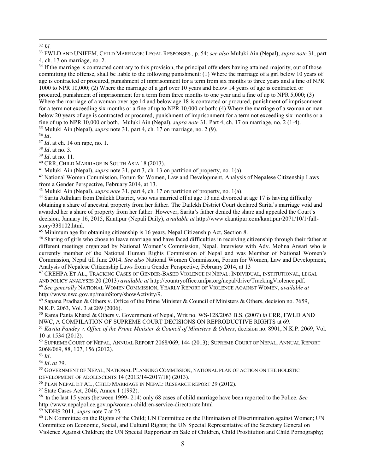32 *Id*.

<sup>33</sup> FWLD AND UNIFEM, CHILD MARRIAGE: LEGAL RESPONSES , p. 54; *see also* Muluki Ain (Nepal), *supra note* 31, part 4, ch. 17 on marriage, no. 2.

 $34$  If the marriage is contracted contrary to this provision, the principal offenders having attained majority, out of those committing the offense, shall be liable to the following punishment: (1) Where the marriage of a girl below 10 years of age is contracted or procured, punishment of imprisonment for a term from six months to three years and a fine of NPR 1000 to NPR 10,000; (2) Where the marriage of a girl over 10 years and below 14 years of age is contracted or

procured, punishment of imprisonment for a term from three months to one year and a fine of up to NPR 5,000; (3) Where the marriage of a woman over age 14 and below age 18 is contracted or procured, punishment of imprisonment for a term not exceeding six months or a fine of up to NPR 10,000 or both; (4) Where the marriage of a woman or man below 20 years of age is contracted or procured, punishment of imprisonment for a term not exceeding six months or a fine of up to NPR 10,000 or both. Muluki Ain (Nepal), *supra note* 31, Part 4, ch. 17 on marriage*,* no. 2 (1-4). 35 Muluki Ain (Nepal), *supra* note 31, part 4, ch. 17 on marriage, no. 2 (9).

<sup>36</sup> *Id.*

<sup>37</sup> *Id.* at ch. 14 on rape, no. 1.

<sup>38</sup> *Id.* at no. 3.<br><sup>39</sup> *Id.* at no. 11.

<sup>40</sup> CRR, CHILD MARRIAGE IN SOUTH ASIA 18 (2013).<br><sup>41</sup> Muluki Ain (Nepal), *supra* note 31, part 3, ch. 13 on partition of property, no. 1(a).

<sup>42</sup> National Women Commission, Forum for Women, Law and Development, Analysis of Nepalese Citizenship Laws from a Gender Perspective, February 2014, at 13.

<sup>43</sup> Muluki Ain (Nepal), *supra note* 31, part 4, ch. 17 on partition of property, no. 1(a).

<sup>44</sup> Sarita Adhikari from Dailekh District, who was married off at age 13 and divorced at age 17 is having difficulty obtaining a share of ancestral property from her father. The Dailekh District Court declared Sarita's marriage void and awarded her a share of property from her father. However, Sarita's father denied the share and appealed the Court's decision. January 16, 2015, Kantipur (Nepali Daily), *available at* http://www.ekantipur.com/kantipur/2071/10/1/fullstory/338102.html.

<sup>45</sup> Minimum age for obtaining citizenship is 16 years. Nepal Citizenship Act, Section 8.

<sup>46</sup> Sharing of girls who chose to leave marriage and have faced difficulties in receiving citizenship through their father at different meetings organized by National Women's Commission, Nepal. Interview with Adv. Mohna Ansari who is currently member of the National Human Rights Commission of Nepal and was Member of National Women's Commission, Nepal till June 2014. *See also* National Women Commission, Forum for Women, Law and Development, Analysis of Nepalese Citizenship Laws from a Gender Perspective, February 2014, at 13

<sup>47</sup> CREHPA ET AL., TRACKING CASES OF GENDER-BASED VIOLENCE IN NEPAL: INDIVIDUAL, INSTITUTIONAL, LEGAL<br>AND POLICY ANALYSES 20 (2013) *available at* http://countryoffice.unfpa.org/nepal/drive/TrackingViolence.pdf. <sup>48</sup> See generally NATIONAL WOMEN COMMISSION, YEARLY REPORT OF VIOLENCE AGAINST WOMEN, available at

http://www.nwc.gov.np/mainStory/showActivity/9.

<sup>49</sup> Sapana Pradhan & Others v. Office of the Prime Minister & Council of Ministers & Others, decision no. 7659, N.K.P. 2063, Vol. 3 at 289 (2006).

<sup>50</sup> Rama Panta Kharel & Others v. Government of Nepal, Writ no. WS-128/2063 B.S. (2007) *in* CRR, FWLD AND NWC, A COMPILATION OF SUPREME COURT DECISIONS ON REPRODUCTIVE RIGHTS at 69.<br><sup>51</sup> *Kavita Pandey v. Office of the Prime Minister & Council of Ministers & Others*, decision no. 8901, N.K.P. 2069, Vol.

10 at 1534 (2012).

<sup>52</sup> SUPREME COURT OF NEPAL, ANNUAL REPORT 2068/069, 144 (2013); SUPREME COURT OF NEPAL, ANNUAL REPORT 2068/069, 88, 107, 156 (2012).

<sup>53</sup> *Id.*

<sup>54</sup> *Id. at* 79.

<sup>55</sup> GOVERNMENT OF NEPAL, NATIONAL PLANNING COMMISSION, NATIONAL PLAN OF ACTION ON THE HOLISTIC DEVELOPMENT OF ADOLESCENTS 14 (2013/14-2017/18) (2013).<br><sup>56</sup> PLAN NEPAL ET AL., CHILD MARRIAGE IN NEPAL: RESEARCH REPORT 29 (2012).<br><sup>57</sup> State Cases Act, 2046, Annex 1 (1992).

<sup>58</sup> In the last 15 years (between 1999- 214) only 68 cases of child marriage have been reported to the Police. *See* http://www.nepalpolice.gov.np/women-children-service-directorate.html

<sup>59</sup> NDHS 2011, *supra* note 7 at 25.

<sup>60</sup> UN Committee on the Rights of the Child; UN Committee on the Elimination of Discrimination against Women; UN Committee on Economic, Social, and Cultural Rights; the UN Special Representative of the Secretary General on Violence Against Children; the UN Special Rapporteur on Sale of Children, Child Prostitution and Child Pornography;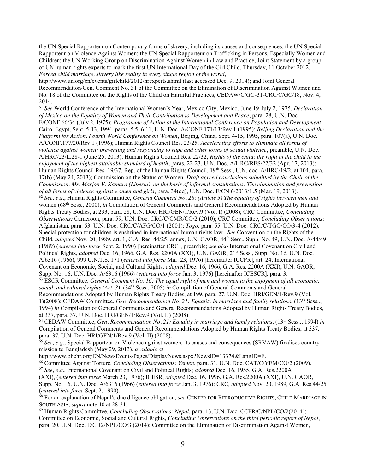the UN Special Rapporteur on Contemporary forms of slavery, including its causes and consequences; the UN Special Rapporteur on Violence Against Women; the UN Special Rapporteur on Trafficking in Persons, Especially Women and Children; the UN Working Group on Discrimination Against Women in Law and Practice; Joint Statement by a group of UN human rights experts to mark the first UN International Day of the Girl Child, Thursday, 11 October 2012, *Forced child marriage, slavery like reality in every single region of the world*,

 $\overline{a}$ 

http://www.un.org/en/events/girlchild/2012/hrexperts.shtml (last accessed Dec. 9, 2014); and Joint General Recommendation/Gen. Comment No. 31 of the Committee on the Elimination of Discrimination Against Women and No. 18 of the Committee on the Rights of the Child on Harmful Practices, CEDAW/C/GC-31-CRC/C/GC/18, Nov. 4, 2014.

<sup>61</sup> *See* World Conference of the International Women's Year, Mexico City, Mexico, June 19-July 2, 1975, *Declaration of Mexico on the Equality of Women and Their Contribution to Development and Peace*, para. 28, U.N. Doc. E/CONF.66/34 (July 2, 1975); *Programme of Action of the International Conference on Population and Development*, Cairo, Egypt, Sept. 5-13, 1994, paras. 5.5, 6.11, U.N. Doc. A/CONF.171/13/Rev.1 (1995); *Beijing Declaration and the Platform for Action, Fourth World Conference on Women*, Beijing, China, Sept. 4-15, 1995, para. 107(a), U.N. Doc. A/CONF.177/20/Rev.1 (1996); Human Rights Council Res. 23/25, *Accelerating efforts to eliminate all forms of violence against women: preventing and responding to rape and other forms of sexual violence*, preamble, U.N. Doc. A/HRC/23/L.28-1 (June 25, 2013); Human Rights Council Res. 22/32, *Rights of the child: the right of the child to the enjoyment of the highest attainable standard of health*, paras. 22-23, U.N. Doc. A/HRC/RES/22/32 (Apr. 17, 2013); Human Rights Council Res. 19/37, Rep. of the Human Rights Council, 19<sup>th</sup> Sess., U.N. doc. A/HRC/19/2, at 104, para. 17(b) (May 24, 2013); Commission on the Status of Women, *Draft agreed conclusions submitted by the Chair of the Commission, Ms. Marjon V. Kamara (Liberia), on the basis of informal consultations: The elimination and prevention*<br>*of all forms of violence against women and girls, para.* 34(qq), U.N. Doc. E/CN.6/2013/L.5 (Mar. 19, 201  $^{62}$  See, e.g., Human Rights Committee, General Comment No. 28: (Article 3) The equality of rights between men and women (68<sup>th</sup> Sess., 2000), *in* Compilation of General Comments and General Recommendations Adopted by Human Rights Treaty Bodies, at 233, para. 28, U.N. Doc. HRI/GEN/1/Rev.9 (Vol. I) (2008); CRC Committee, *Concluding Observations:* Cameroon, para. 59, U.N. Doc. CRC/C/CMR/CO/2 (2010); CRC Committee, *Concluding Observations:*  Afghanistan, para. 53, U.N. Doc. CRC/C/AFG/CO/1 (2001); *Togo*, para. 55, U.N. Doc. CRC/C/TGO/CO/3-4 (2012). Special protection for children is enshrined in international human rights law. *See* Convention on the Rights of the Child, *adopted* Nov. 20, 1989, art. 1, G.A. Res. 44/25, annex, U.N. GAOR, 44th Sess., Supp. No. 49, U.N. Doc. A/44/49 (1989) (*entered into force* Sept. 2, 1990) [hereinafter CRC], preamble; *see also* International Covenant on Civil and Political Rights, *adopted Dec.* 16, 1966, G.A. Res. 2200A (XXI), U.N. GAOR, 21<sup>st</sup> Sess., Supp. No. 16, U.N. Doc. A/6316 (1966), 999 U.N.T.S. 171 (*entered into force* Mar. 23, 1976) [hereinafter ICCPR], art. 24; International Covenant on Economic, Social, and Cultural Rights, *adopted* Dec. 16, 1966, G.A. Res. 2200A (XXI), U.N. GAOR,  $63$  ESCR Committee, General Comment No. 16: The equal right of men and women to the enjoyment of all economic, *social, and cultural rights (Art. 3),* (34th Sess., 2005) *in* Compilation of General Comments and General Recommendations Adopted by Human Rights Treaty Bodies, at 199, para. 27, U.N. Doc. HRI/GEN/1/Rev.9 (Vol. 1)(2008); CEDAW Committee, *Gen. Recommendation No. 21: Equality in marriage and family relations*, (13th Sess.., 1994) *in* Compilation of General Comments and General Recommendations Adopted by Human Rights Treaty Bodies, at 337, para. 37, U.N. Doc. HRI/GEN/1/Rev.9 (Vol. II) (2008).

<sup>64</sup> CEDAW Committee, *Gen. Recommendation No. 21: Equality in marriage and family relations*, (13th Sess.., 1994) *in*  Compilation of General Comments and General Recommendations Adopted by Human Rights Treaty Bodies, at 337, para. 37, U.N. Doc. HRI/GEN/1/Rev.9 (Vol. II) (2008).

<sup>65</sup> *See, e.g.*, Special Rapporteur on Violence against women, its causes and consequences (SRVAW) finalises country mission to Bangladesh (May 29, 2013), *available at*

http://www.ohchr.org/EN/NewsEvents/Pages/DisplayNews.aspx?NewsID=13374&LangID=E.

<sup>66</sup> Committee Against Torture, *Concluding Observations: Yemen*, para. 31, U.N. Doc. CAT/C/YEM/CO/2 (2009).<br><sup>67</sup> See, e.g., International Covenant on Civil and Political Rights; *adopted* Dec. 16, 1955, G.A. Res.2200A

(XXI), (*entered into force* March 23, 1976); ICESR, *adopted* Dec. 16, 1996, G.A. Res.2200A (XXI), U.N. GAOR, Supp. No. 16, U.N. Doc. A/6316 (1966) (*entered into force* Jan. 3, 1976); CRC, *adopted* Nov. 20, 1989, G.A. Res.44/25 (*entered into force* Sept. 2, 1990).<br><sup>68</sup> For an explanation of Nepal's due diligence obligation, *see* CENTER FOR REPRODUCTIVE RIGHTS, CHILD MARRIAGE IN

SOUTH ASIA, *supra* note 40 at 28-31.<br><sup>69</sup> Human Rights Committee, *Concluding Observations: Nepal*, para. 13, U.N. Doc. CCPR/C/NPL/CO/2(2014);

Committee on Economic, Social and Cultural Rights, *Concluding Observations on the third periodic report of Nepal*, para. 20, U.N. Doc. E/C.12/NPL/CO/3 (2014); Committee on the Elimination of Discrimination Against Women,